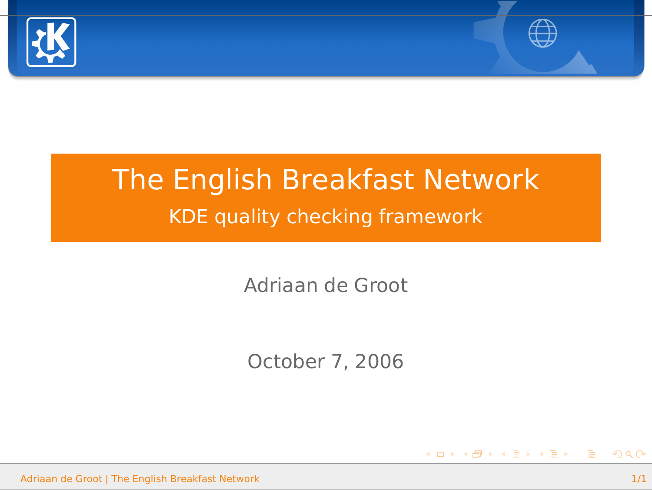



K ロ X K 御 X K 重 X K 重 X (重 X )重

## The English Breakfast Network KDE quality checking framework

Adriaan de Groot

October 7, 2006

Adriaan de Groot | [The English Breakfast Network](#page-0-0) 1/1

<span id="page-0-0"></span> $QQ$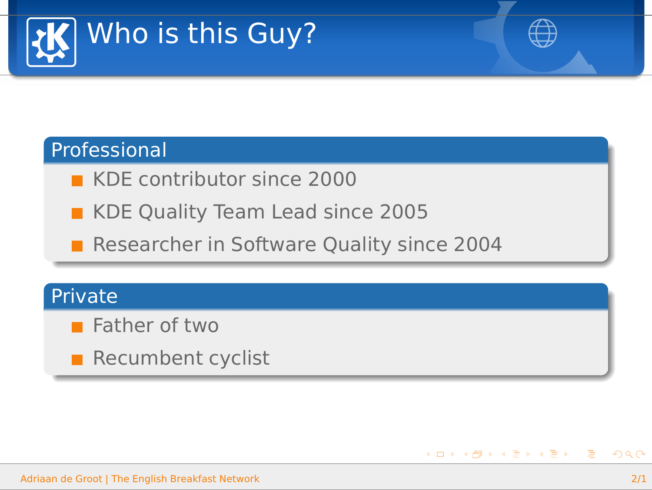



### Professional

- **KDE** contributor since 2000
- KDE Quality Team Lead since 2005
- Researcher in Software Quality since 2004

### **Private**

- **Father of two**
- $\blacksquare$  Recumbent cyclist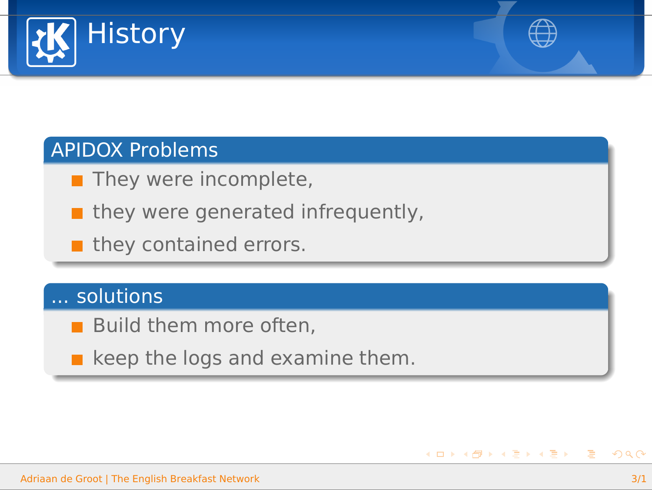



### APIDOX Problems

- $\blacksquare$  They were incomplete,
- $\blacksquare$  they were generated infrequently,
- $\blacksquare$  they contained errors.

### ... solutions

- **Build them more often,**
- $\blacksquare$  keep the logs and examine them.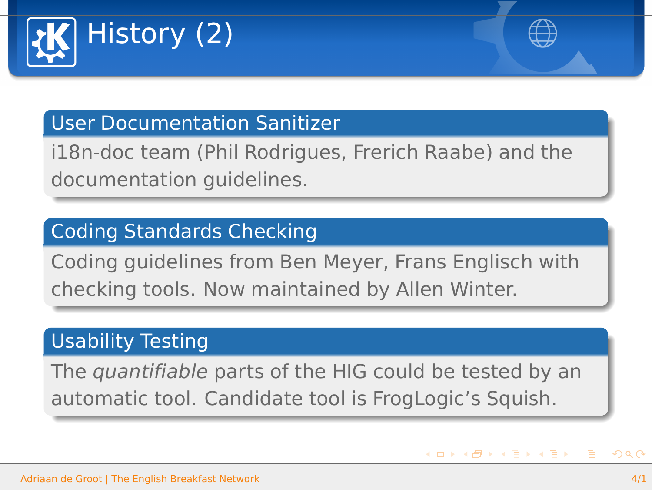



**◆ロト→伊ト→ヨト→ヨト** 

### User Documentation Sanitizer

i18n-doc team (Phil Rodrigues, Frerich Raabe) and the documentation guidelines.

### Coding Standards Checking

Coding guidelines from Ben Meyer, Frans Englisch with checking tools. Now maintained by Allen Winter.

### Usability Testing

The quantifiable parts of the HIG could be tested by an automatic tool. Candidate tool is FrogLogic's Squish.

 $\Omega$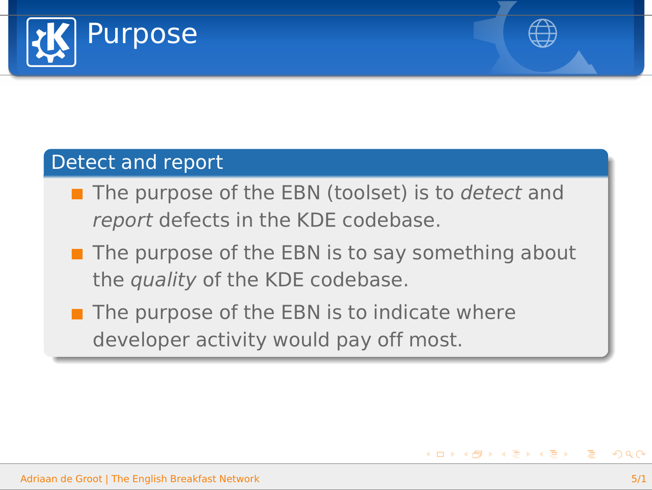



**≮ロト (母) (ヨ) (ヨ)** 

### Detect and report

- $\blacksquare$  The purpose of the EBN (toolset) is to detect and report defects in the KDE codebase.
- $\blacksquare$  The purpose of the EBN is to say something about the quality of the KDE codebase.
- $\blacksquare$  The purpose of the EBN is to indicate where developer activity would pay off most.

 $\equiv$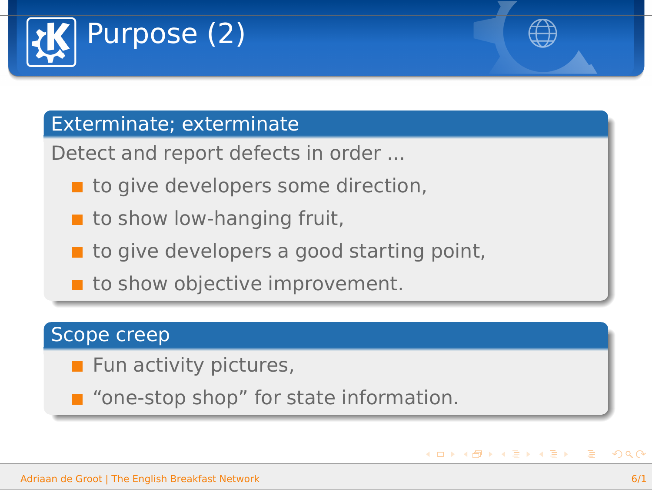



**◆ロト→伊ト→ヨト→ヨト** 

### Exterminate; exterminate

Detect and report defects in order ...

- $\blacksquare$  to give developers some direction,
- $\blacksquare$  to show low-hanging fruit,
- $\blacksquare$  to give developers a good starting point,
- $\blacksquare$  to show objective improvement.

### Scope creep

- $\blacksquare$  Fun activity pictures,
- "one-stop shop" for state information.

 $\equiv$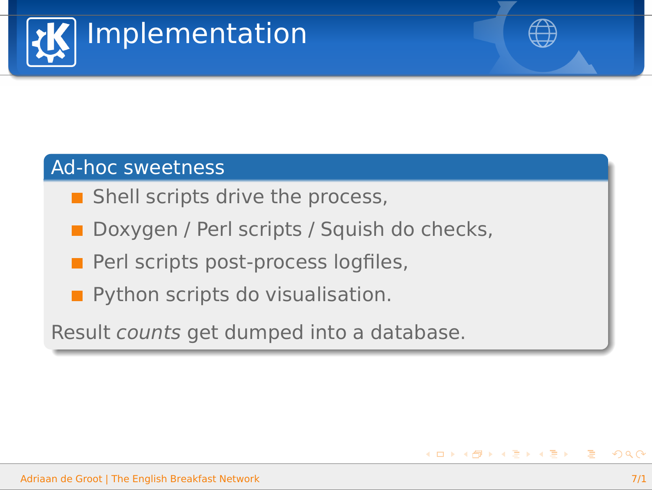



### Ad-hoc sweetness

- $\blacksquare$  Shell scripts drive the process,
- Doxygen / Perl scripts / Squish do checks,
- $\blacksquare$  Perl scripts post-process logfiles,
- **Python scripts do visualisation.**

Result counts get dumped into a database.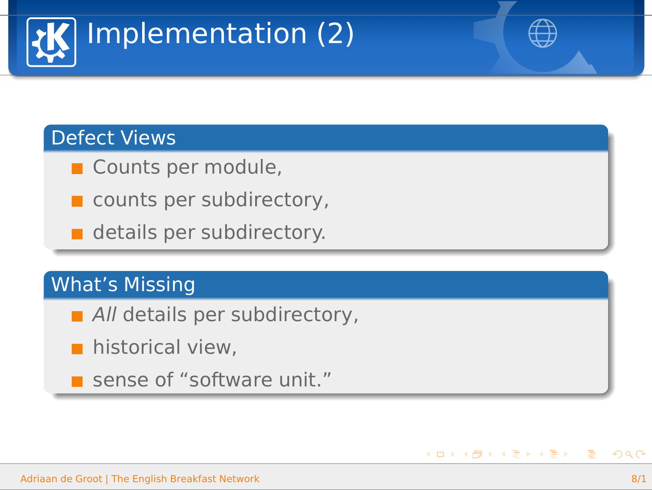

### Defect Views

- Counts per module,
- counts per subdirectory,
- details per subdirectory.

### What's Missing

- All details per subdirectory,
- **historical view,**
- sense of "software unit."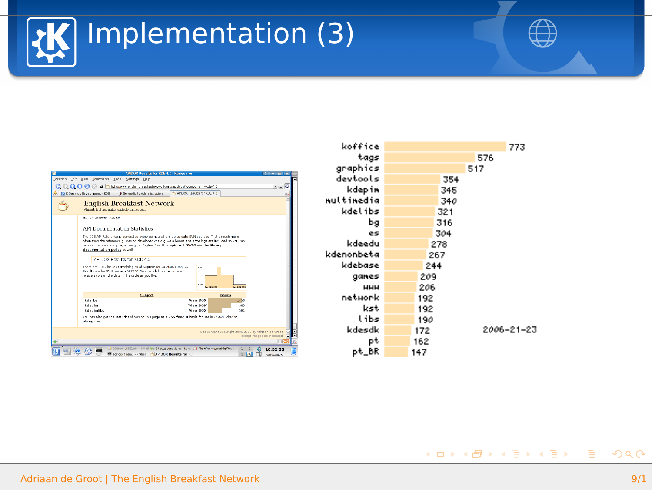



イロメイタメイ きょくきょうき

| <b>AUTHOR Resides For MTC 4.0 . Known press</b>                                                                                                                                                                                                                                                                                   |                                            |                                                       | <b>While the complete</b>   |  |
|-----------------------------------------------------------------------------------------------------------------------------------------------------------------------------------------------------------------------------------------------------------------------------------------------------------------------------------|--------------------------------------------|-------------------------------------------------------|-----------------------------|--|
| Location Edit View Backmarks Tools Settings Help                                                                                                                                                                                                                                                                                  |                                            |                                                       |                             |  |
| Q Q Q Q O B D Shttp://www.englettensidtattreteck.org/apidocs/tomponent=ide-ED                                                                                                                                                                                                                                                     |                                            |                                                       |                             |  |
| R. KIKOesktop Environment - KDE. 1 Serendigity Administration  1 J APDOX Results for KDS 4.0                                                                                                                                                                                                                                      |                                            |                                                       |                             |  |
| <b>English Breakfast Network</b><br>Almost, but not easts, extendy unlike too.                                                                                                                                                                                                                                                    |                                            |                                                       |                             |  |
| <b>Maria 1. Addition 1. 1710 A.M.</b>                                                                                                                                                                                                                                                                                             |                                            |                                                       |                             |  |
| <b>API Documentation Statistics</b>                                                                                                                                                                                                                                                                                               |                                            |                                                       |                             |  |
| The KDE API Reference is generated every six hours from up-to-date SVN sources. That's much more<br>after than the reference quides on developer kile org. As a bonus, the error logs are included so you can<br>peruse them while sipping some good Ceylon. Read the apidem HOWTO and the Ebrary<br>decumentation policy as wel. |                                            |                                                       |                             |  |
| APIDOX Regults for KDE 4.0.                                                                                                                                                                                                                                                                                                       |                                            |                                                       |                             |  |
| There are 3032 issues remaining as of September 24 2005 09:28:24.<br>Results are for thris revision 587600, You can click on the column<br>headers to part the data in the table as you like.                                                                                                                                     | $\sim$<br><b>Bank</b><br><b>CONTRACTOR</b> | <b>Sea on anno</b>                                    |                             |  |
| Subject                                                                                                                                                                                                                                                                                                                           |                                            | hsues                                                 |                             |  |
| <b>Materials</b>                                                                                                                                                                                                                                                                                                                  | Mew DOX!                                   | TEM.                                                  |                             |  |
| kdeain                                                                                                                                                                                                                                                                                                                            | New DOX                                    | <b>GAK</b>                                            |                             |  |
| <b>Independing</b>                                                                                                                                                                                                                                                                                                                | <b>New DOX</b>                             | 501                                                   |                             |  |
| You can also get the statistics shown on this pape as a BSA feed suitable for use in Cheesthi between<br>alcrequiter.                                                                                                                                                                                                             |                                            |                                                       |                             |  |
|                                                                                                                                                                                                                                                                                                                                   |                                            | Site content Copyright 2005-2006 by Adriain de Dreet, |                             |  |
|                                                                                                                                                                                                                                                                                                                                   |                                            |                                                       | except images as indicated. |  |
|                                                                                                                                                                                                                                                                                                                                   |                                            |                                                       |                             |  |

| koffice    |     |     | 773        |
|------------|-----|-----|------------|
| tags       |     | 576 |            |
| graphics   |     | 517 |            |
| devtools   |     | 354 |            |
| kdepin     | 345 |     |            |
| multimedia | 340 |     |            |
| kdelibs    | 321 |     |            |
| Ьg         | 316 |     |            |
| es         | 304 |     |            |
| kdeedu     | 278 |     |            |
| kdenonbeta | 267 |     |            |
| kdebase    | 244 |     |            |
| ganes      | 209 |     |            |
| HHH        | 206 |     |            |
| network    | 192 |     |            |
| kst        | 192 |     |            |
| libs       | 190 |     |            |
| kdesdk     | 172 |     | 2006-21-23 |
| рt         | 162 |     |            |
| pt_BR      | 147 |     |            |

 $2Q$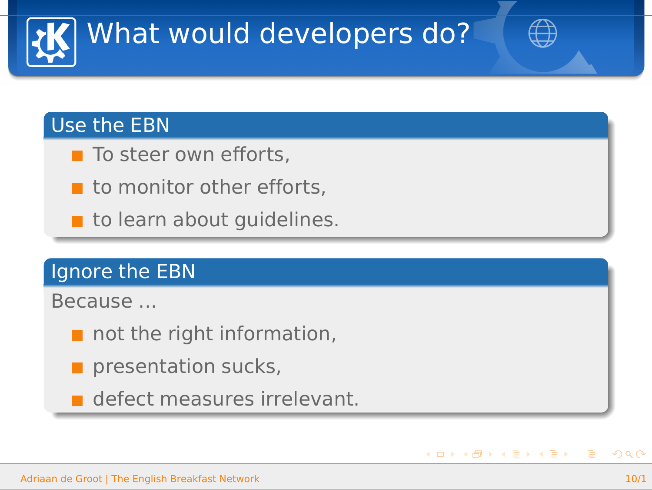

### Use the EBN

- $\blacksquare$  To steer own efforts,
- $\blacksquare$  to monitor other efforts,
- to learn about quidelines.

### Ignore the EBN

Because ...

- $\blacksquare$  not the right information,
- $\blacksquare$  presentation sucks,
- defect measures irrelevant.

 $\equiv$ 

**≮ロト (母) (ヨ) (ヨ)**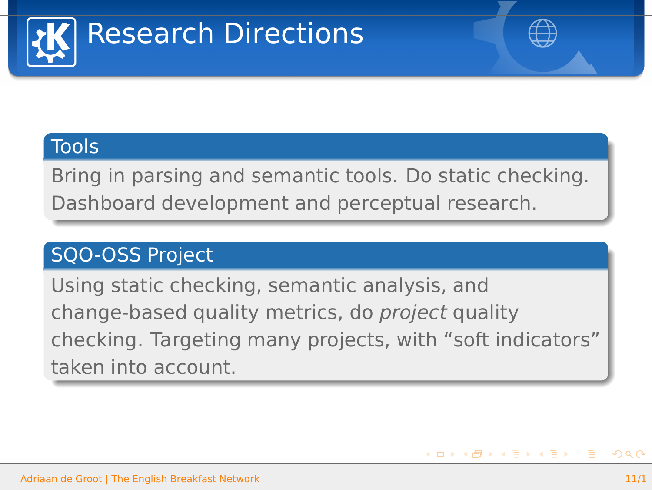

イロメイタメイヨメイヨメーヨ

### **Tools**

Bring in parsing and semantic tools. Do static checking. Dashboard development and perceptual research.

### SQO-OSS Project

Using static checking, semantic analysis, and change-based quality metrics, do project quality checking. Targeting many projects, with "soft indicators" taken into account.

 $\Omega$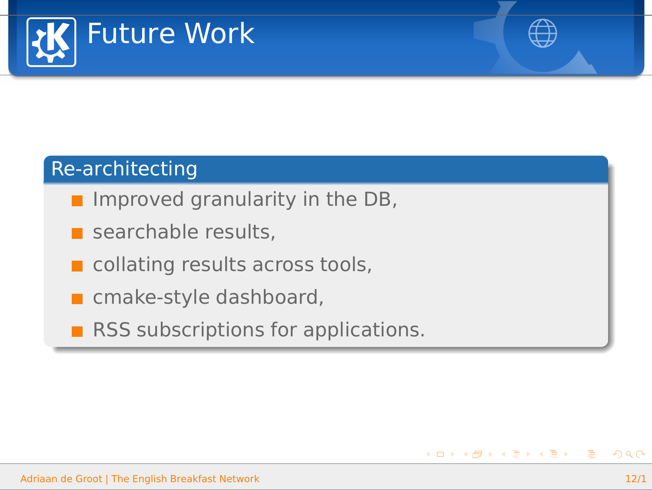



**≮ロ ▶ ⊀ 何 ▶ ⊀ ヨ ▶ ∢ ヨ ▶** 

### Re-architecting

- Improved granularity in the DB,
- searchable results,
- collating results across tools,
- cmake-style dashboard,
- RSS subscriptions for applications.

 $\equiv$  $209C$